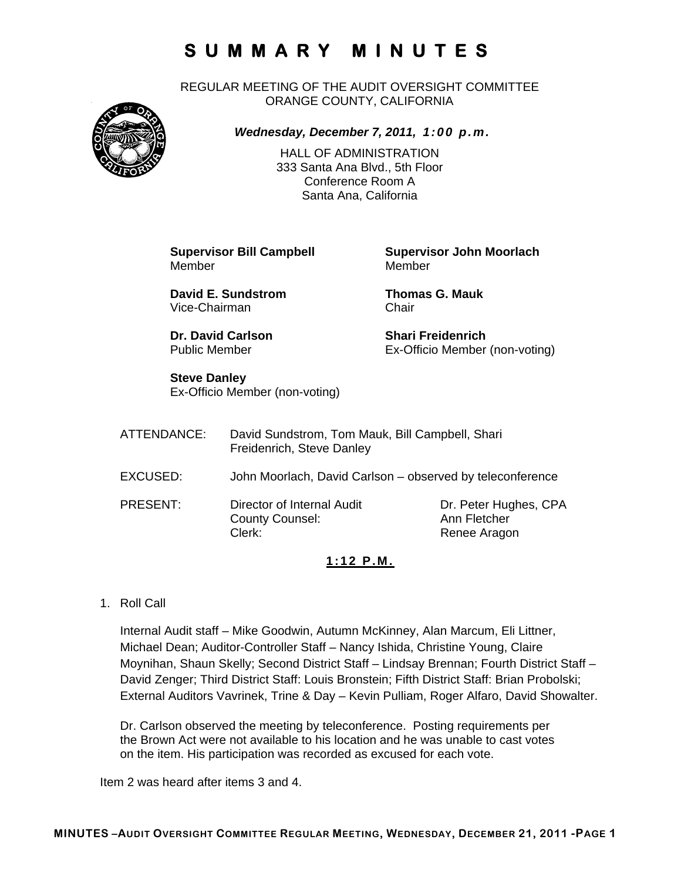REGULAR MEETING OF THE AUDIT OVERSIGHT COMMITTEE ORANGE COUNTY, CALIFORNIA



*Wednesday, December 7, 2011, 1:00 p.m.*

HALL OF ADMINISTRATION 333 Santa Ana Blvd., 5th Floor Conference Room A Santa Ana, California

Member Member

**David E. Sundstrom Thomas G. Mauk**  Vice-Chairman Chair

**Dr. David Carlson Shari Freidenrich** 

**Supervisor Bill Campbell Supervisor John Moorlach**

Public Member Ex-Officio Member (non-voting)

### **Steve Danley**

Ex-Officio Member (non-voting)

ATTENDANCE: David Sundstrom, Tom Mauk, Bill Campbell, Shari Freidenrich, Steve Danley EXCUSED: John Moorlach, David Carlson – observed by teleconference PRESENT: Director of Internal Audit Dr. Peter Hughes, CPA County Counsel: Ann Fletcher Clerk: Clerk: Renee Aragon

### **1:12 P.M.**

1. Roll Call

Internal Audit staff – Mike Goodwin, Autumn McKinney, Alan Marcum, Eli Littner, Michael Dean; Auditor-Controller Staff – Nancy Ishida, Christine Young, Claire Moynihan, Shaun Skelly; Second District Staff – Lindsay Brennan; Fourth District Staff – David Zenger; Third District Staff: Louis Bronstein; Fifth District Staff: Brian Probolski; External Auditors Vavrinek, Trine & Day – Kevin Pulliam, Roger Alfaro, David Showalter.

Dr. Carlson observed the meeting by teleconference. Posting requirements per the Brown Act were not available to his location and he was unable to cast votes on the item. His participation was recorded as excused for each vote.

Item 2 was heard after items 3 and 4.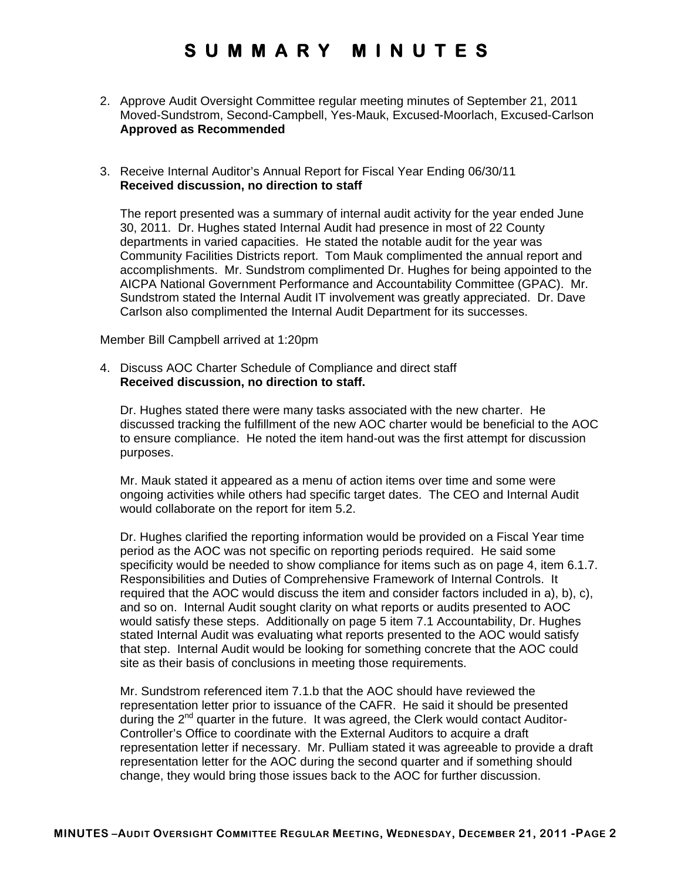2. Approve Audit Oversight Committee regular meeting minutes of September 21, 2011 Moved-Sundstrom, Second-Campbell, Yes-Mauk, Excused-Moorlach, Excused-Carlson **Approved as Recommended** 

#### 3. Receive Internal Auditor's Annual Report for Fiscal Year Ending 06/30/11 **Received discussion, no direction to staff**

The report presented was a summary of internal audit activity for the year ended June 30, 2011. Dr. Hughes stated Internal Audit had presence in most of 22 County departments in varied capacities. He stated the notable audit for the year was Community Facilities Districts report. Tom Mauk complimented the annual report and accomplishments. Mr. Sundstrom complimented Dr. Hughes for being appointed to the AICPA National Government Performance and Accountability Committee (GPAC). Mr. Sundstrom stated the Internal Audit IT involvement was greatly appreciated. Dr. Dave Carlson also complimented the Internal Audit Department for its successes.

Member Bill Campbell arrived at 1:20pm

4. Discuss AOC Charter Schedule of Compliance and direct staff **Received discussion, no direction to staff.** 

Dr. Hughes stated there were many tasks associated with the new charter. He discussed tracking the fulfillment of the new AOC charter would be beneficial to the AOC to ensure compliance. He noted the item hand-out was the first attempt for discussion purposes.

Mr. Mauk stated it appeared as a menu of action items over time and some were ongoing activities while others had specific target dates. The CEO and Internal Audit would collaborate on the report for item 5.2.

Dr. Hughes clarified the reporting information would be provided on a Fiscal Year time period as the AOC was not specific on reporting periods required. He said some specificity would be needed to show compliance for items such as on page 4, item 6.1.7. Responsibilities and Duties of Comprehensive Framework of Internal Controls. It required that the AOC would discuss the item and consider factors included in a), b), c), and so on. Internal Audit sought clarity on what reports or audits presented to AOC would satisfy these steps. Additionally on page 5 item 7.1 Accountability, Dr. Hughes stated Internal Audit was evaluating what reports presented to the AOC would satisfy that step. Internal Audit would be looking for something concrete that the AOC could site as their basis of conclusions in meeting those requirements.

Mr. Sundstrom referenced item 7.1.b that the AOC should have reviewed the representation letter prior to issuance of the CAFR. He said it should be presented during the  $2^{nd}$  quarter in the future. It was agreed, the Clerk would contact Auditor-Controller's Office to coordinate with the External Auditors to acquire a draft representation letter if necessary. Mr. Pulliam stated it was agreeable to provide a draft representation letter for the AOC during the second quarter and if something should change, they would bring those issues back to the AOC for further discussion.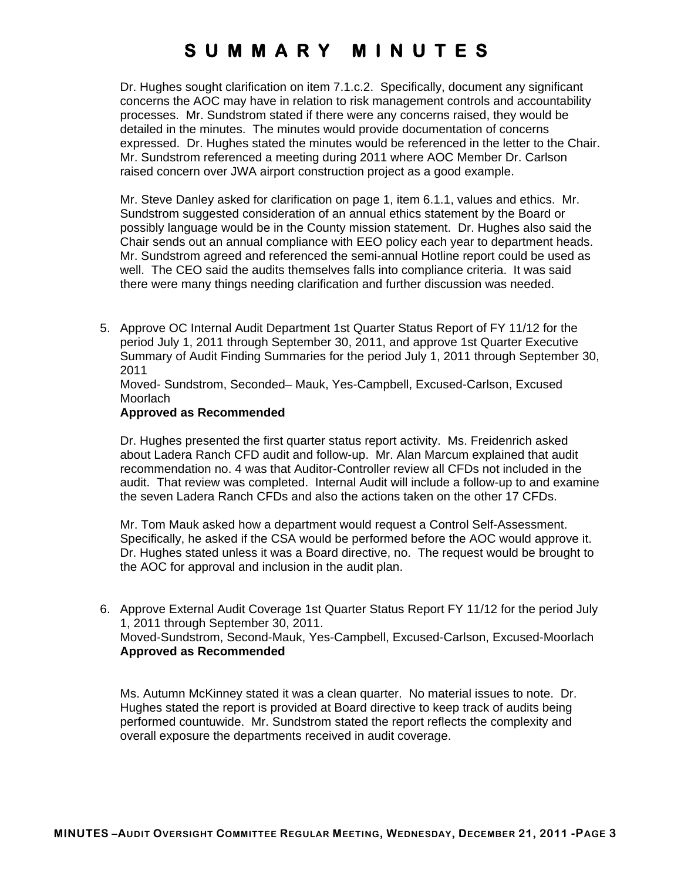Dr. Hughes sought clarification on item 7.1.c.2. Specifically, document any significant concerns the AOC may have in relation to risk management controls and accountability processes. Mr. Sundstrom stated if there were any concerns raised, they would be detailed in the minutes. The minutes would provide documentation of concerns expressed. Dr. Hughes stated the minutes would be referenced in the letter to the Chair. Mr. Sundstrom referenced a meeting during 2011 where AOC Member Dr. Carlson raised concern over JWA airport construction project as a good example.

Mr. Steve Danley asked for clarification on page 1, item 6.1.1, values and ethics. Mr. Sundstrom suggested consideration of an annual ethics statement by the Board or possibly language would be in the County mission statement. Dr. Hughes also said the Chair sends out an annual compliance with EEO policy each year to department heads. Mr. Sundstrom agreed and referenced the semi-annual Hotline report could be used as well. The CEO said the audits themselves falls into compliance criteria. It was said there were many things needing clarification and further discussion was needed.

5. Approve OC Internal Audit Department 1st Quarter Status Report of FY 11/12 for the period July 1, 2011 through September 30, 2011, and approve 1st Quarter Executive Summary of Audit Finding Summaries for the period July 1, 2011 through September 30, 2011

Moved- Sundstrom, Seconded– Mauk, Yes-Campbell, Excused-Carlson, Excused **Moorlach** 

#### **Approved as Recommended**

Dr. Hughes presented the first quarter status report activity. Ms. Freidenrich asked about Ladera Ranch CFD audit and follow-up. Mr. Alan Marcum explained that audit recommendation no. 4 was that Auditor-Controller review all CFDs not included in the audit. That review was completed. Internal Audit will include a follow-up to and examine the seven Ladera Ranch CFDs and also the actions taken on the other 17 CFDs.

Mr. Tom Mauk asked how a department would request a Control Self-Assessment. Specifically, he asked if the CSA would be performed before the AOC would approve it. Dr. Hughes stated unless it was a Board directive, no. The request would be brought to the AOC for approval and inclusion in the audit plan.

6. Approve External Audit Coverage 1st Quarter Status Report FY 11/12 for the period July 1, 2011 through September 30, 2011. Moved-Sundstrom, Second-Mauk, Yes-Campbell, Excused-Carlson, Excused-Moorlach **Approved as Recommended** 

Ms. Autumn McKinney stated it was a clean quarter. No material issues to note. Dr. Hughes stated the report is provided at Board directive to keep track of audits being performed countuwide. Mr. Sundstrom stated the report reflects the complexity and overall exposure the departments received in audit coverage.